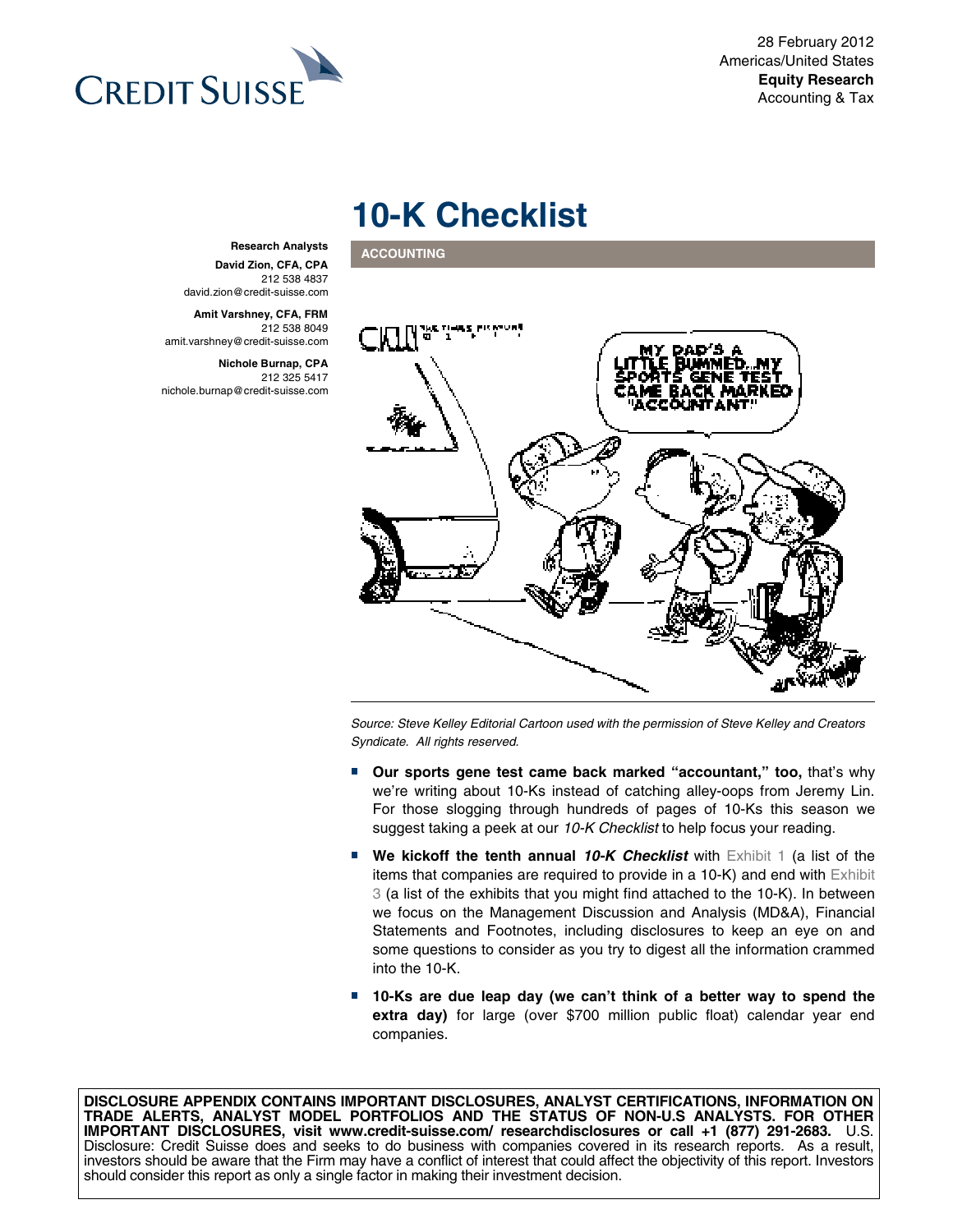28 February 2012 Americas/United States **Equity Research** Accounting & Tax



# **10-K Checklist**

**ACCOUNTING** 



Source: Steve Kelley Editorial Cartoon used with the permission of Steve Kelley and Creators Syndicate. All rights reserved.

- **Our sports gene test came back marked "accountant," too, that's why** we're writing about 10-Ks instead of catching alley-oops from Jeremy Lin. For those slogging through hundreds of pages of 10-Ks this season we suggest taking a peek at our 10-K Checklist to help focus your reading.
- We kickoff the tenth annual 10-K Checklist with Exhibit 1 (a list of the items that companies are required to provide in a 10-K) and end with Exhibit 3 (a list of the exhibits that you might find attached to the 10-K). In between we focus on the Management Discussion and Analysis (MD&A), Financial Statements and Footnotes, including disclosures to keep an eye on and some questions to consider as you try to digest all the information crammed into the 10-K.
- **10-Ks are due leap day (we can't think of a better way to spend the extra day)** for large (over \$700 million public float) calendar year end companies.

**DISCLOSURE APPENDIX CONTAINS IMPORTANT DISCLOSURES, ANALYST CERTIFICATIONS, INFORMATION ON TRADE ALERTS, ANALYST MODEL PORTFOLIOS AND THE STATUS OF NON-U.S ANALYSTS. FOR OTHER IMPORTANT DISCLOSURES, visit www.credit-suisse.com/ researchdisclosures or call +1 (877) 291-2683.** U.S. Disclosure: Credit Suisse does and seeks to do business with companies covered in its research reports. As a result, investors should be aware that the Firm may have a conflict of interest that could affect the objectivity of this report. Investors should consider this report as only a single factor in making their investment decision.

#### **Research Analysts David Zion, CFA, CPA**  212 538 4837 david.zion@credit-suisse.com

**Amit Varshney, CFA, FRM**  212 538 8049 amit.varshney@credit-suisse.com

**Nichole Burnap, CPA**  212 325 5417 nichole.burnap@credit-suisse.com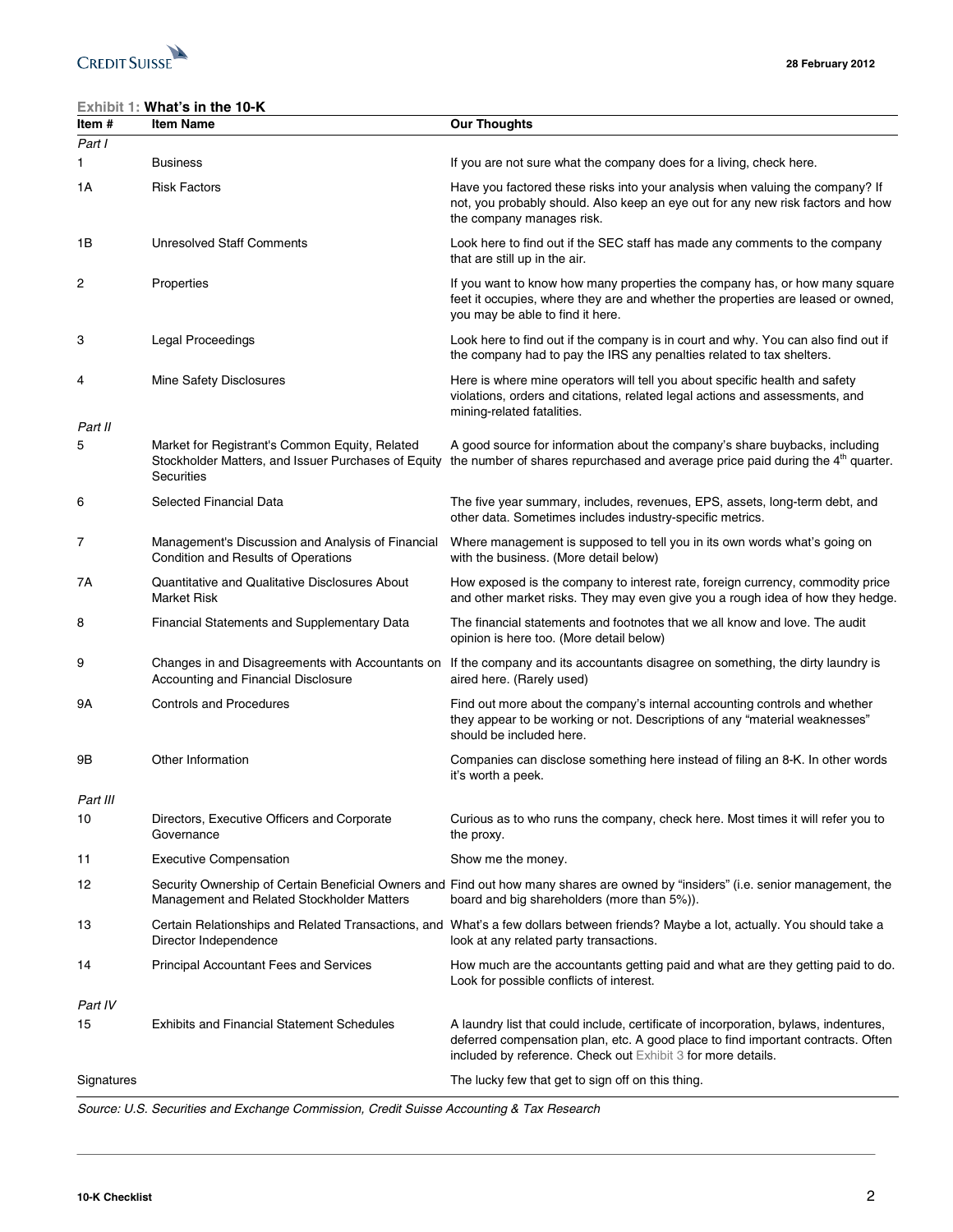

### **Exhibit 1: What's in the 10-K**

| Item #         | <b>Item Name</b>                                                                                                    | <b>Our Thoughts</b>                                                                                                                                                                                                                      |
|----------------|---------------------------------------------------------------------------------------------------------------------|------------------------------------------------------------------------------------------------------------------------------------------------------------------------------------------------------------------------------------------|
| Part I         |                                                                                                                     |                                                                                                                                                                                                                                          |
| 1              | <b>Business</b>                                                                                                     | If you are not sure what the company does for a living, check here.                                                                                                                                                                      |
| 1А             | <b>Risk Factors</b>                                                                                                 | Have you factored these risks into your analysis when valuing the company? If<br>not, you probably should. Also keep an eye out for any new risk factors and how<br>the company manages risk.                                            |
| 1Β             | <b>Unresolved Staff Comments</b>                                                                                    | Look here to find out if the SEC staff has made any comments to the company<br>that are still up in the air.                                                                                                                             |
| $\overline{c}$ | Properties                                                                                                          | If you want to know how many properties the company has, or how many square<br>feet it occupies, where they are and whether the properties are leased or owned,<br>you may be able to find it here.                                      |
| 3              | <b>Legal Proceedings</b>                                                                                            | Look here to find out if the company is in court and why. You can also find out if<br>the company had to pay the IRS any penalties related to tax shelters.                                                                              |
| 4              | Mine Safety Disclosures                                                                                             | Here is where mine operators will tell you about specific health and safety<br>violations, orders and citations, related legal actions and assessments, and<br>mining-related fatalities.                                                |
| Part II        |                                                                                                                     |                                                                                                                                                                                                                                          |
| 5              | Market for Registrant's Common Equity, Related<br>Stockholder Matters, and Issuer Purchases of Equity<br>Securities | A good source for information about the company's share buybacks, including<br>the number of shares repurchased and average price paid during the 4 <sup>th</sup> quarter.                                                               |
| 6              | Selected Financial Data                                                                                             | The five year summary, includes, revenues, EPS, assets, long-term debt, and<br>other data. Sometimes includes industry-specific metrics.                                                                                                 |
| 7              | Management's Discussion and Analysis of Financial<br>Condition and Results of Operations                            | Where management is supposed to tell you in its own words what's going on<br>with the business. (More detail below)                                                                                                                      |
| 7Α             | Quantitative and Qualitative Disclosures About<br><b>Market Risk</b>                                                | How exposed is the company to interest rate, foreign currency, commodity price<br>and other market risks. They may even give you a rough idea of how they hedge.                                                                         |
| 8              | Financial Statements and Supplementary Data                                                                         | The financial statements and footnotes that we all know and love. The audit<br>opinion is here too. (More detail below)                                                                                                                  |
| 9              | Accounting and Financial Disclosure                                                                                 | Changes in and Disagreements with Accountants on If the company and its accountants disagree on something, the dirty laundry is<br>aired here. (Rarely used)                                                                             |
| 9Α             | <b>Controls and Procedures</b>                                                                                      | Find out more about the company's internal accounting controls and whether<br>they appear to be working or not. Descriptions of any "material weaknesses"<br>should be included here.                                                    |
| 9Β             | Other Information                                                                                                   | Companies can disclose something here instead of filing an 8-K. In other words<br>it's worth a peek.                                                                                                                                     |
| Part III       |                                                                                                                     |                                                                                                                                                                                                                                          |
| 10             | Directors, Executive Officers and Corporate<br>Governance                                                           | Curious as to who runs the company, check here. Most times it will refer you to<br>the proxy.                                                                                                                                            |
| 11             | <b>Executive Compensation</b>                                                                                       | Show me the money.                                                                                                                                                                                                                       |
| 12             | Management and Related Stockholder Matters                                                                          | Security Ownership of Certain Beneficial Owners and Find out how many shares are owned by "insiders" (i.e. senior management, the<br>board and big shareholders (more than 5%)).                                                         |
| 13             | Director Independence                                                                                               | Certain Relationships and Related Transactions, and What's a few dollars between friends? Maybe a lot, actually. You should take a<br>look at any related party transactions.                                                            |
| 14             | <b>Principal Accountant Fees and Services</b>                                                                       | How much are the accountants getting paid and what are they getting paid to do.<br>Look for possible conflicts of interest.                                                                                                              |
| Part IV        |                                                                                                                     |                                                                                                                                                                                                                                          |
| 15             | <b>Exhibits and Financial Statement Schedules</b>                                                                   | A laundry list that could include, certificate of incorporation, bylaws, indentures,<br>deferred compensation plan, etc. A good place to find important contracts. Often<br>included by reference. Check out Exhibit 3 for more details. |
| Signatures     |                                                                                                                     | The lucky few that get to sign off on this thing.                                                                                                                                                                                        |

Source: U.S. Securities and Exchange Commission, Credit Suisse Accounting & Tax Research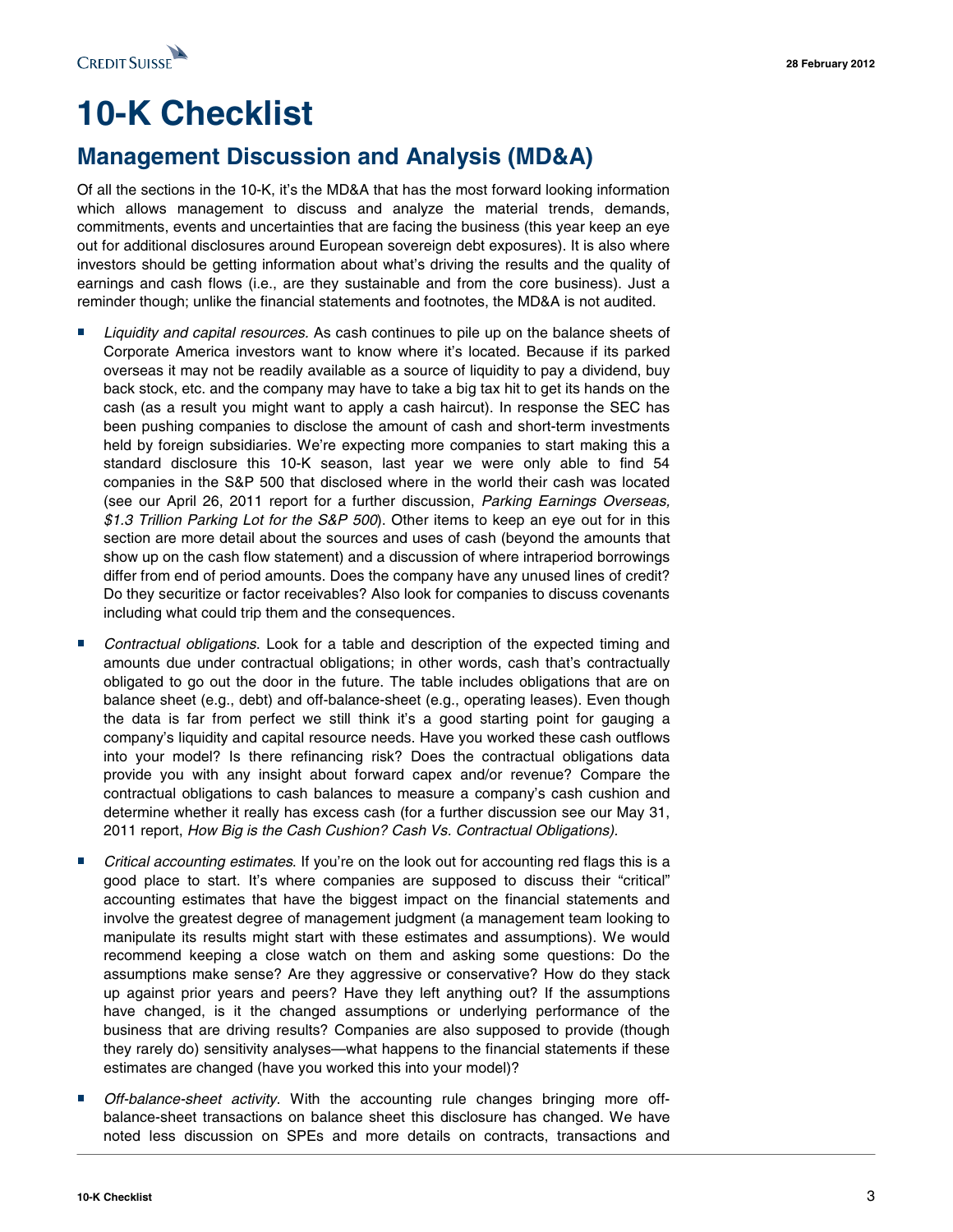

# **10-K Checklist**

## **Management Discussion and Analysis (MD&A)**

Of all the sections in the 10-K, it's the MD&A that has the most forward looking information which allows management to discuss and analyze the material trends, demands, commitments, events and uncertainties that are facing the business (this year keep an eye out for additional disclosures around European sovereign debt exposures). It is also where investors should be getting information about what's driving the results and the quality of earnings and cash flows (i.e., are they sustainable and from the core business). Just a reminder though; unlike the financial statements and footnotes, the MD&A is not audited.

- Liquidity and capital resources. As cash continues to pile up on the balance sheets of Corporate America investors want to know where it's located. Because if its parked overseas it may not be readily available as a source of liquidity to pay a dividend, buy back stock, etc. and the company may have to take a big tax hit to get its hands on the cash (as a result you might want to apply a cash haircut). In response the SEC has been pushing companies to disclose the amount of cash and short-term investments held by foreign subsidiaries. We're expecting more companies to start making this a standard disclosure this 10-K season, last year we were only able to find 54 companies in the S&P 500 that disclosed where in the world their cash was located (see our April 26, 2011 report for a further discussion, Parking Earnings Overseas, \$1.3 Trillion Parking Lot for the S&P 500). Other items to keep an eye out for in this section are more detail about the sources and uses of cash (beyond the amounts that show up on the cash flow statement) and a discussion of where intraperiod borrowings differ from end of period amounts. Does the company have any unused lines of credit? Do they securitize or factor receivables? Also look for companies to discuss covenants including what could trip them and the consequences.
- *Contractual obligations*. Look for a table and description of the expected timing and amounts due under contractual obligations; in other words, cash that's contractually obligated to go out the door in the future. The table includes obligations that are on balance sheet (e.g., debt) and off-balance-sheet (e.g., operating leases). Even though the data is far from perfect we still think it's a good starting point for gauging a company's liquidity and capital resource needs. Have you worked these cash outflows into your model? Is there refinancing risk? Does the contractual obligations data provide you with any insight about forward capex and/or revenue? Compare the contractual obligations to cash balances to measure a company's cash cushion and determine whether it really has excess cash (for a further discussion see our May 31, 2011 report, How Big is the Cash Cushion? Cash Vs. Contractual Obligations).
- *Critical accounting estimates*. If you're on the look out for accounting red flags this is a good place to start. It's where companies are supposed to discuss their "critical" accounting estimates that have the biggest impact on the financial statements and involve the greatest degree of management judgment (a management team looking to manipulate its results might start with these estimates and assumptions). We would recommend keeping a close watch on them and asking some questions: Do the assumptions make sense? Are they aggressive or conservative? How do they stack up against prior years and peers? Have they left anything out? If the assumptions have changed, is it the changed assumptions or underlying performance of the business that are driving results? Companies are also supposed to provide (though they rarely do) sensitivity analyses—what happens to the financial statements if these estimates are changed (have you worked this into your model)?
- *Off-balance-sheet activity*. With the accounting rule changes bringing more off-<br>balance-sheet transactions on balance sheet this disclosure has changed. We have noted less discussion on SPEs and more details on contracts, transactions and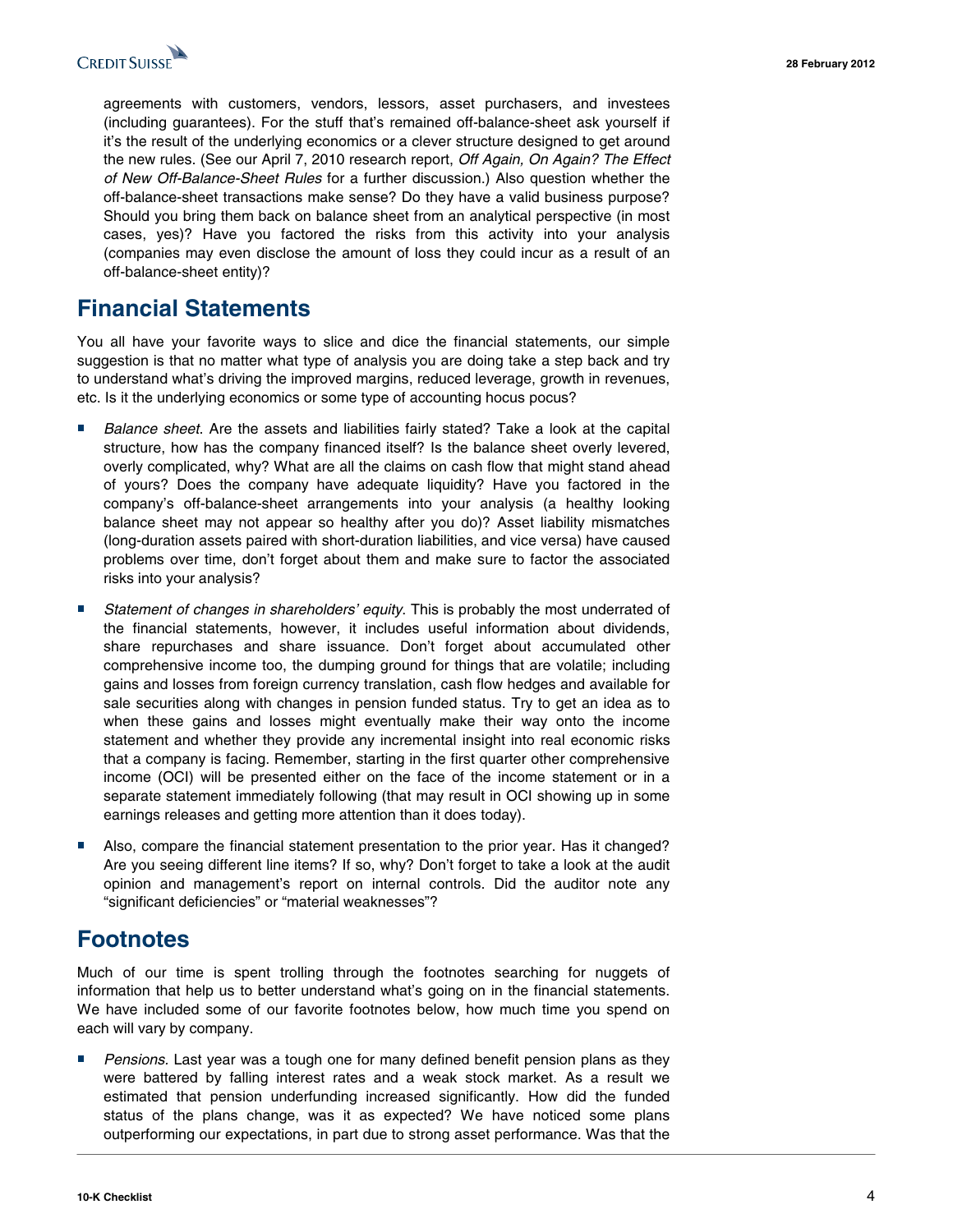

agreements with customers, vendors, lessors, asset purchasers, and investees (including guarantees). For the stuff that's remained off-balance-sheet ask yourself if it's the result of the underlying economics or a clever structure designed to get around the new rules. (See our April 7, 2010 research report, *Off Again, On Again? The Effect* of New Off-Balance-Sheet Rules for a further discussion.) Also question whether the off-balance-sheet transactions make sense? Do they have a valid business purpose? Should you bring them back on balance sheet from an analytical perspective (in most cases, yes)? Have you factored the risks from this activity into your analysis (companies may even disclose the amount of loss they could incur as a result of an off-balance-sheet entity)?

# **Financial Statements**

You all have your favorite ways to slice and dice the financial statements, our simple suggestion is that no matter what type of analysis you are doing take a step back and try to understand what's driving the improved margins, reduced leverage, growth in revenues, etc. Is it the underlying economics or some type of accounting hocus pocus?

- *Balance sheet*. Are the assets and liabilities fairly stated? Take a look at the capital structure, how has the company financed itself? Is the balance sheet overly levered, overly complicated, why? What are all the claims on cash flow that might stand ahead of yours? Does the company have adequate liquidity? Have you factored in the company's off-balance-sheet arrangements into your analysis (a healthy looking balance sheet may not appear so healthy after you do)? Asset liability mismatches (long-duration assets paired with short-duration liabilities, and vice versa) have caused problems over time, don't forget about them and make sure to factor the associated risks into your analysis?
- Statement of changes in shareholders' equity. This is probably the most underrated of the financial statements, however, it includes useful information about dividends, share repurchases and share issuance. Don't forget about accumulated other comprehensive income too, the dumping ground for things that are volatile; including gains and losses from foreign currency translation, cash flow hedges and available for sale securities along with changes in pension funded status. Try to get an idea as to when these gains and losses might eventually make their way onto the income statement and whether they provide any incremental insight into real economic risks that a company is facing. Remember, starting in the first quarter other comprehensive income (OCI) will be presented either on the face of the income statement or in a separate statement immediately following (that may result in OCI showing up in some earnings releases and getting more attention than it does today).
- Also, compare the financial statement presentation to the prior year. Has it changed? Are you seeing different line items? If so, why? Don't forget to take a look at the audit opinion and management's report on internal controls. Did the auditor note any "significant deficiencies" or "material weaknesses"?

## **Footnotes**

Much of our time is spent trolling through the footnotes searching for nuggets of information that help us to better understand what's going on in the financial statements. We have included some of our favorite footnotes below, how much time you spend on each will vary by company.

■ Pensions. Last year was a tough one for many defined benefit pension plans as they<br>were battered by falling interest rates and a weak stock market. As a result we estimated that pension underfunding increased significantly. How did the funded status of the plans change, was it as expected? We have noticed some plans outperforming our expectations, in part due to strong asset performance. Was that the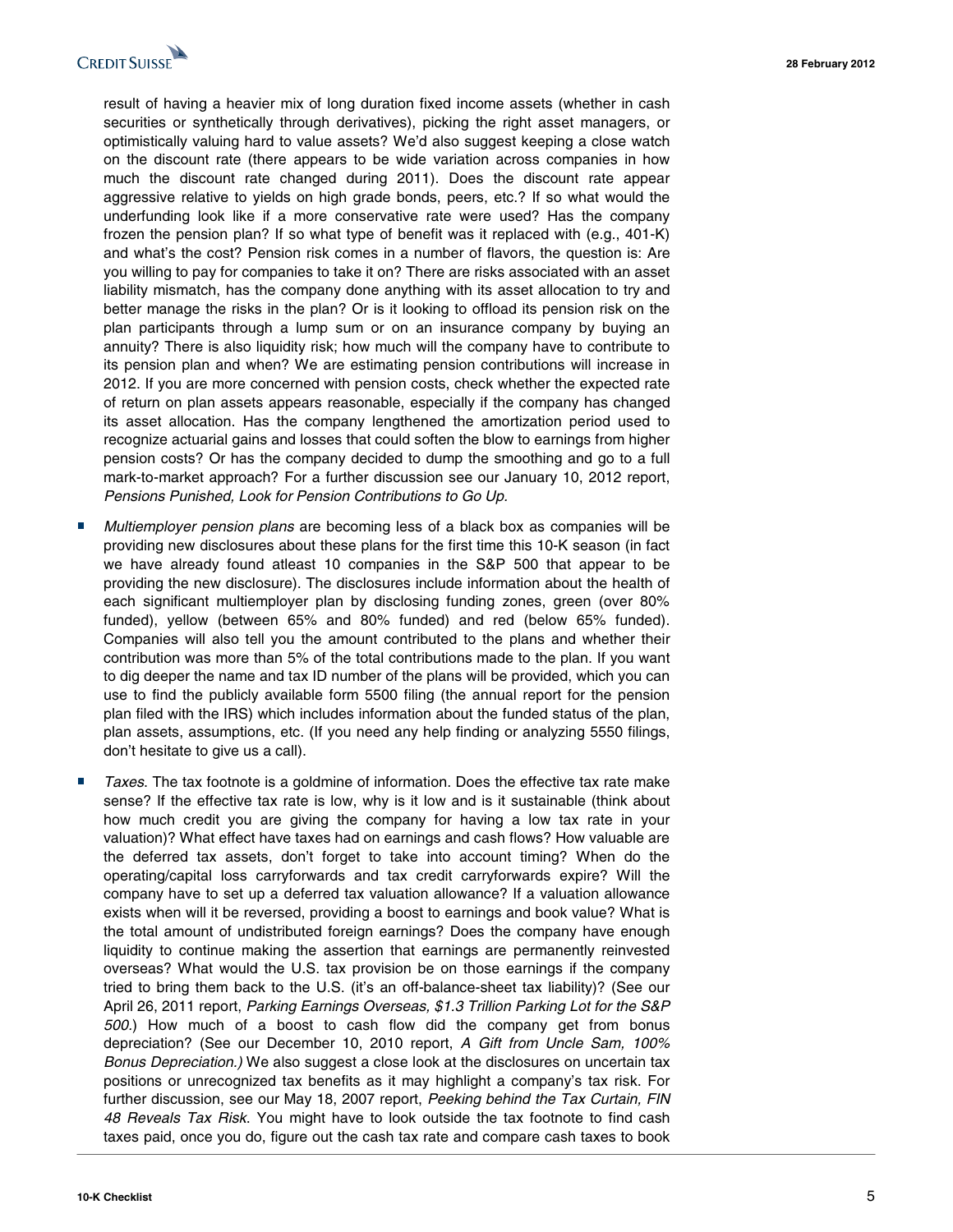

result of having a heavier mix of long duration fixed income assets (whether in cash securities or synthetically through derivatives), picking the right asset managers, or optimistically valuing hard to value assets? We'd also suggest keeping a close watch on the discount rate (there appears to be wide variation across companies in how much the discount rate changed during 2011). Does the discount rate appear aggressive relative to yields on high grade bonds, peers, etc.? If so what would the underfunding look like if a more conservative rate were used? Has the company frozen the pension plan? If so what type of benefit was it replaced with (e.g., 401-K) and what's the cost? Pension risk comes in a number of flavors, the question is: Are you willing to pay for companies to take it on? There are risks associated with an asset liability mismatch, has the company done anything with its asset allocation to try and better manage the risks in the plan? Or is it looking to offload its pension risk on the plan participants through a lump sum or on an insurance company by buying an annuity? There is also liquidity risk; how much will the company have to contribute to its pension plan and when? We are estimating pension contributions will increase in 2012. If you are more concerned with pension costs, check whether the expected rate of return on plan assets appears reasonable, especially if the company has changed its asset allocation. Has the company lengthened the amortization period used to recognize actuarial gains and losses that could soften the blow to earnings from higher pension costs? Or has the company decided to dump the smoothing and go to a full mark-to-market approach? For a further discussion see our January 10, 2012 report, Pensions Punished, Look for Pension Contributions to Go Up.

- *Multiemployer pension plans* are becoming less of a black box as companies will be providing new disclosures about these plans for the first time this 10-K season (in fact we have already found atleast 10 companies in the S&P 500 that appear to be providing the new disclosure). The disclosures include information about the health of each significant multiemployer plan by disclosing funding zones, green (over 80% funded), yellow (between 65% and 80% funded) and red (below 65% funded). Companies will also tell you the amount contributed to the plans and whether their contribution was more than 5% of the total contributions made to the plan. If you want to dig deeper the name and tax ID number of the plans will be provided, which you can use to find the publicly available form 5500 filing (the annual report for the pension plan filed with the IRS) which includes information about the funded status of the plan, plan assets, assumptions, etc. (If you need any help finding or analyzing 5550 filings, don't hesitate to give us a call).
- *Taxes*. The tax footnote is a goldmine of information. Does the effective tax rate make sense? If the effective tax rate is low, why is it low and is it sustainable (think about how much credit you are giving the company for having a low tax rate in your valuation)? What effect have taxes had on earnings and cash flows? How valuable are the deferred tax assets, don't forget to take into account timing? When do the operating/capital loss carryforwards and tax credit carryforwards expire? Will the company have to set up a deferred tax valuation allowance? If a valuation allowance exists when will it be reversed, providing a boost to earnings and book value? What is the total amount of undistributed foreign earnings? Does the company have enough liquidity to continue making the assertion that earnings are permanently reinvested overseas? What would the U.S. tax provision be on those earnings if the company tried to bring them back to the U.S. (it's an off-balance-sheet tax liability)? (See our April 26, 2011 report, Parking Earnings Overseas, \$1.3 Trillion Parking Lot for the S&P 500.) How much of a boost to cash flow did the company get from bonus depreciation? (See our December 10, 2010 report, A Gift from Uncle Sam, 100% Bonus Depreciation.) We also suggest a close look at the disclosures on uncertain tax positions or unrecognized tax benefits as it may highlight a company's tax risk. For further discussion, see our May 18, 2007 report, Peeking behind the Tax Curtain, FIN 48 Reveals Tax Risk. You might have to look outside the tax footnote to find cash taxes paid, once you do, figure out the cash tax rate and compare cash taxes to book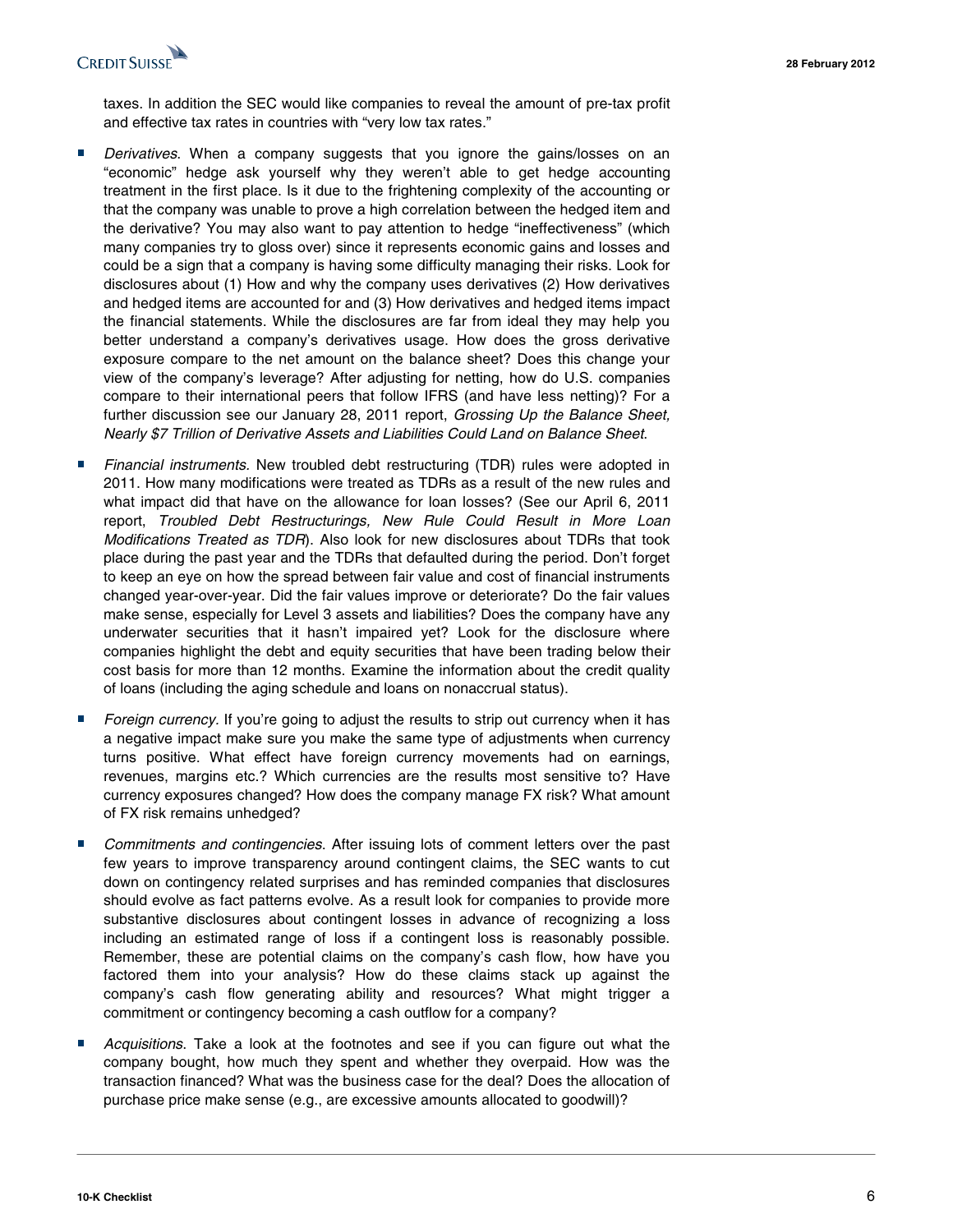

taxes. In addition the SEC would like companies to reveal the amount of pre-tax profit and effective tax rates in countries with "very low tax rates."

- *Derivatives*. When a company suggests that you ignore the gains/losses on an "economic" hedge ask yourself why they weren't able to get hedge accounting treatment in the first place. Is it due to the frightening complexity of the accounting or that the company was unable to prove a high correlation between the hedged item and the derivative? You may also want to pay attention to hedge "ineffectiveness" (which many companies try to gloss over) since it represents economic gains and losses and could be a sign that a company is having some difficulty managing their risks. Look for disclosures about (1) How and why the company uses derivatives (2) How derivatives and hedged items are accounted for and (3) How derivatives and hedged items impact the financial statements. While the disclosures are far from ideal they may help you better understand a company's derivatives usage. How does the gross derivative exposure compare to the net amount on the balance sheet? Does this change your view of the company's leverage? After adjusting for netting, how do U.S. companies compare to their international peers that follow IFRS (and have less netting)? For a further discussion see our January 28, 2011 report, Grossing Up the Balance Sheet, Nearly \$7 Trillion of Derivative Assets and Liabilities Could Land on Balance Sheet.
- Financial instruments. New troubled debt restructuring (TDR) rules were adopted in 2011. How many modifications were treated as TDRs as a result of the new rules and what impact did that have on the allowance for loan losses? (See our April 6, 2011 report, Troubled Debt Restructurings, New Rule Could Result in More Loan Modifications Treated as TDR). Also look for new disclosures about TDRs that took place during the past year and the TDRs that defaulted during the period. Don't forget to keep an eye on how the spread between fair value and cost of financial instruments changed year-over-year. Did the fair values improve or deteriorate? Do the fair values make sense, especially for Level 3 assets and liabilities? Does the company have any underwater securities that it hasn't impaired yet? Look for the disclosure where companies highlight the debt and equity securities that have been trading below their cost basis for more than 12 months. Examine the information about the credit quality of loans (including the aging schedule and loans on nonaccrual status).
- Foreign currency. If you're going to adjust the results to strip out currency when it has a negative impact make sure you make the same type of adjustments when currency turns positive. What effect have foreign currency movements had on earnings, revenues, margins etc.? Which currencies are the results most sensitive to? Have currency exposures changed? How does the company manage FX risk? What amount of FX risk remains unhedged?
- *Commitments and contingencies*. After issuing lots of comment letters over the past few years to improve transparency around contingent claims, the SEC wants to cut down on contingency related surprises and has reminded companies that disclosures should evolve as fact patterns evolve. As a result look for companies to provide more substantive disclosures about contingent losses in advance of recognizing a loss including an estimated range of loss if a contingent loss is reasonably possible. Remember, these are potential claims on the company's cash flow, how have you factored them into your analysis? How do these claims stack up against the company's cash flow generating ability and resources? What might trigger a commitment or contingency becoming a cash outflow for a company?
- Acquisitions. Take a look at the footnotes and see if you can figure out what the company bought, how much they spent and whether they overpaid. How was the transaction financed? What was the business case for the deal? Does the allocation of purchase price make sense (e.g., are excessive amounts allocated to goodwill)?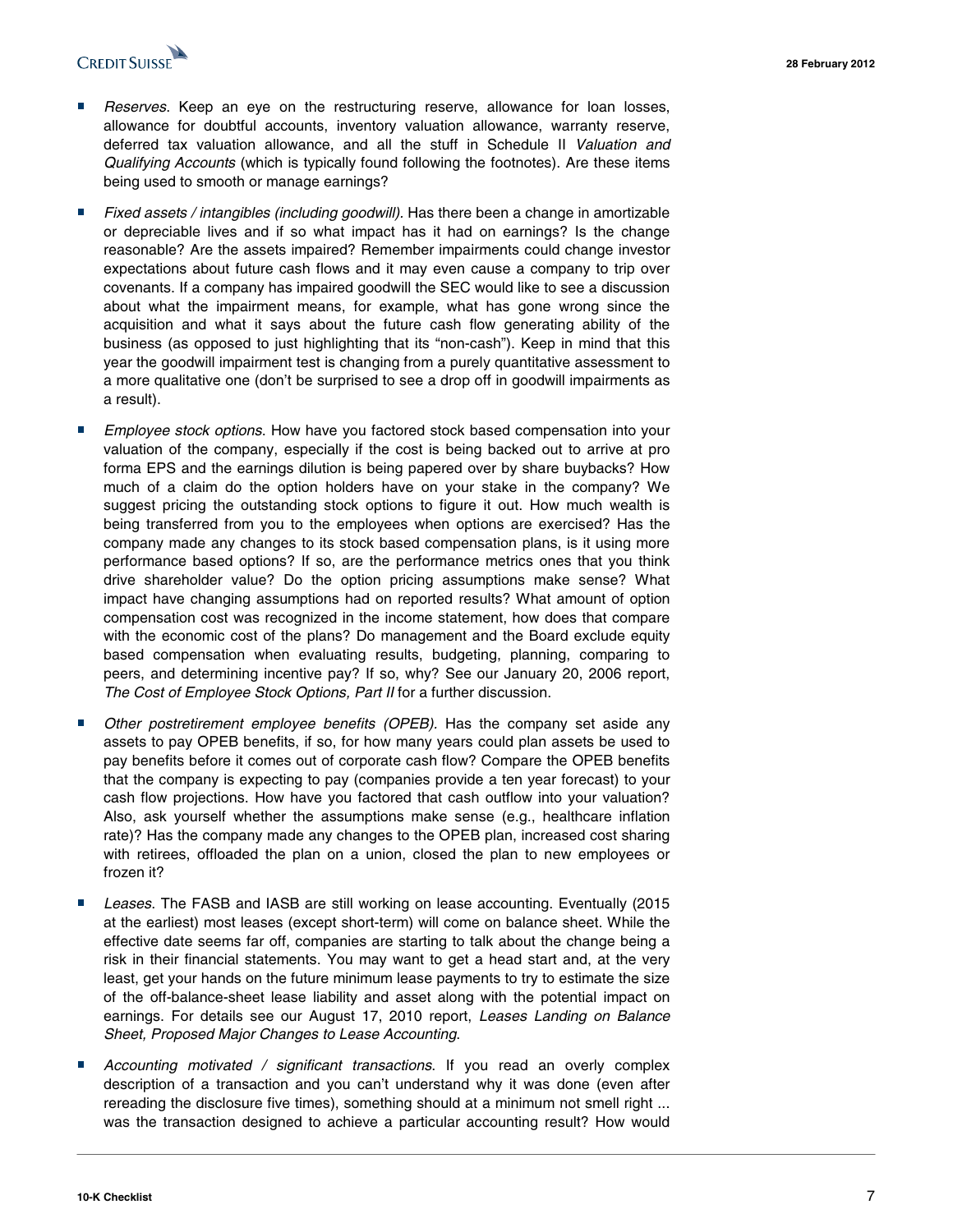

- *Reserves*. Keep an eye on the restructuring reserve, allowance for loan losses,<br>allowance for doubtful accounts, inventory valuation allowance, warranty reserve, deferred tax valuation allowance, and all the stuff in Schedule II Valuation and Qualifying Accounts (which is typically found following the footnotes). Are these items being used to smooth or manage earnings?
- *Fixed assets / intangibles (including goodwill)*. Has there been a change in amortizable or depreciable lives and if so what impact has it had on earnings? Is the change reasonable? Are the assets impaired? Remember impairments could change investor expectations about future cash flows and it may even cause a company to trip over covenants. If a company has impaired goodwill the SEC would like to see a discussion about what the impairment means, for example, what has gone wrong since the acquisition and what it says about the future cash flow generating ability of the business (as opposed to just highlighting that its "non-cash"). Keep in mind that this year the goodwill impairment test is changing from a purely quantitative assessment to a more qualitative one (don't be surprised to see a drop off in goodwill impairments as a result).
- *Employee stock options*. How have you factored stock based compensation into your valuation of the company, especially if the cost is being backed out to arrive at pro forma EPS and the earnings dilution is being papered over by share buybacks? How much of a claim do the option holders have on your stake in the company? We suggest pricing the outstanding stock options to figure it out. How much wealth is being transferred from you to the employees when options are exercised? Has the company made any changes to its stock based compensation plans, is it using more performance based options? If so, are the performance metrics ones that you think drive shareholder value? Do the option pricing assumptions make sense? What impact have changing assumptions had on reported results? What amount of option compensation cost was recognized in the income statement, how does that compare with the economic cost of the plans? Do management and the Board exclude equity based compensation when evaluating results, budgeting, planning, comparing to peers, and determining incentive pay? If so, why? See our January 20, 2006 report, The Cost of Employee Stock Options, Part II for a further discussion.
- Other postretirement employee benefits (OPEB). Has the company set aside any assets to pay OPEB benefits, if so, for how many years could plan assets be used to pay benefits before it comes out of corporate cash flow? Compare the OPEB benefits that the company is expecting to pay (companies provide a ten year forecast) to your cash flow projections. How have you factored that cash outflow into your valuation? Also, ask yourself whether the assumptions make sense (e.g., healthcare inflation rate)? Has the company made any changes to the OPEB plan, increased cost sharing with retirees, offloaded the plan on a union, closed the plan to new employees or frozen it?
- Leases. The FASB and IASB are still working on lease accounting. Eventually (2015 at the earliest) most leases (except short-term) will come on balance sheet. While the effective date seems far off, companies are starting to talk about the change being a risk in their financial statements. You may want to get a head start and, at the very least, get your hands on the future minimum lease payments to try to estimate the size of the off-balance-sheet lease liability and asset along with the potential impact on earnings. For details see our August 17, 2010 report, Leases Landing on Balance Sheet, Proposed Major Changes to Lease Accounting.
- Accounting motivated / significant transactions. If you read an overly complex description of a transaction and you can't understand why it was done (even after rereading the disclosure five times), something should at a minimum not smell right ... was the transaction designed to achieve a particular accounting result? How would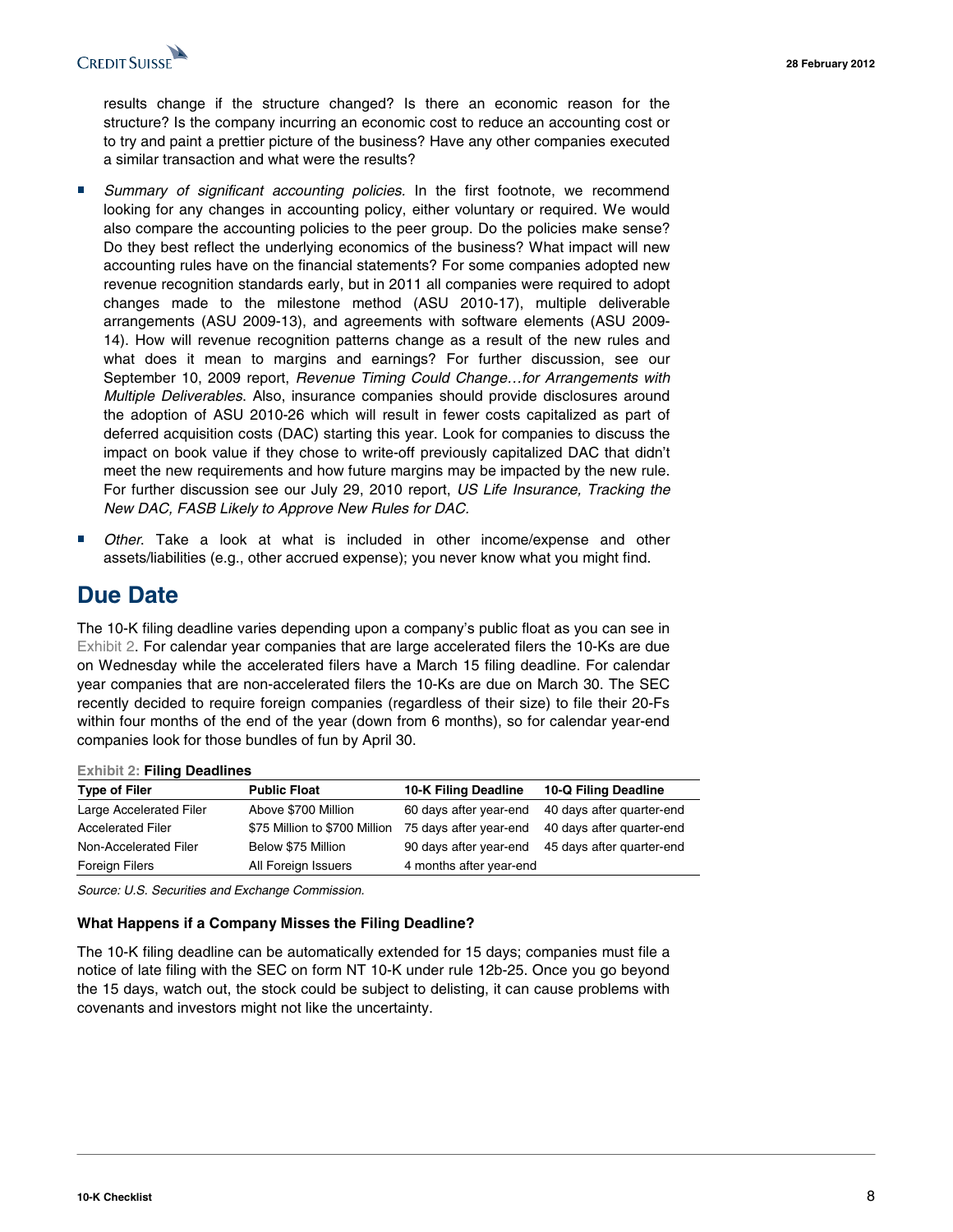

results change if the structure changed? Is there an economic reason for the structure? Is the company incurring an economic cost to reduce an accounting cost or to try and paint a prettier picture of the business? Have any other companies executed a similar transaction and what were the results?

- Summary of significant accounting policies. In the first footnote, we recommend looking for any changes in accounting policy, either voluntary or required. We would also compare the accounting policies to the peer group. Do the policies make sense? Do they best reflect the underlying economics of the business? What impact will new accounting rules have on the financial statements? For some companies adopted new revenue recognition standards early, but in 2011 all companies were required to adopt changes made to the milestone method (ASU 2010-17), multiple deliverable arrangements (ASU 2009-13), and agreements with software elements (ASU 2009- 14). How will revenue recognition patterns change as a result of the new rules and what does it mean to margins and earnings? For further discussion, see our September 10, 2009 report, Revenue Timing Could Change…for Arrangements with Multiple Deliverables. Also, insurance companies should provide disclosures around the adoption of ASU 2010-26 which will result in fewer costs capitalized as part of deferred acquisition costs (DAC) starting this year. Look for companies to discuss the impact on book value if they chose to write-off previously capitalized DAC that didn't meet the new requirements and how future margins may be impacted by the new rule. For further discussion see our July 29, 2010 report, US Life Insurance, Tracking the New DAC, FASB Likely to Approve New Rules for DAC.
- Other. Take a look at what is included in other income/expense and other assets/liabilities (e.g., other accrued expense); you never know what you might find.

### **Due Date**

The 10-K filing deadline varies depending upon a company's public float as you can see in Exhibit 2. For calendar year companies that are large accelerated filers the 10-Ks are due on Wednesday while the accelerated filers have a March 15 filing deadline. For calendar year companies that are non-accelerated filers the 10-Ks are due on March 30. The SEC recently decided to require foreign companies (regardless of their size) to file their 20-Fs within four months of the end of the year (down from 6 months), so for calendar year-end companies look for those bundles of fun by April 30.

#### **Exhibit 2: Filing Deadlines**

| <b>Type of Filer</b>     | <b>Public Float</b>           | 10-K Filing Deadline    | 10-Q Filing Deadline                             |
|--------------------------|-------------------------------|-------------------------|--------------------------------------------------|
| Large Accelerated Filer  | Above \$700 Million           |                         | 60 days after year-end 40 days after quarter-end |
| <b>Accelerated Filer</b> | \$75 Million to \$700 Million | 75 days after year-end  | 40 days after quarter-end                        |
| Non-Accelerated Filer    | Below \$75 Million            |                         | 90 days after year-end 45 days after quarter-end |
| Foreign Filers           | All Foreign Issuers           | 4 months after year-end |                                                  |

Source: U.S. Securities and Exchange Commission.

#### **What Happens if a Company Misses the Filing Deadline?**

The 10-K filing deadline can be automatically extended for 15 days; companies must file a notice of late filing with the SEC on form NT 10-K under rule 12b-25. Once you go beyond the 15 days, watch out, the stock could be subject to delisting, it can cause problems with covenants and investors might not like the uncertainty.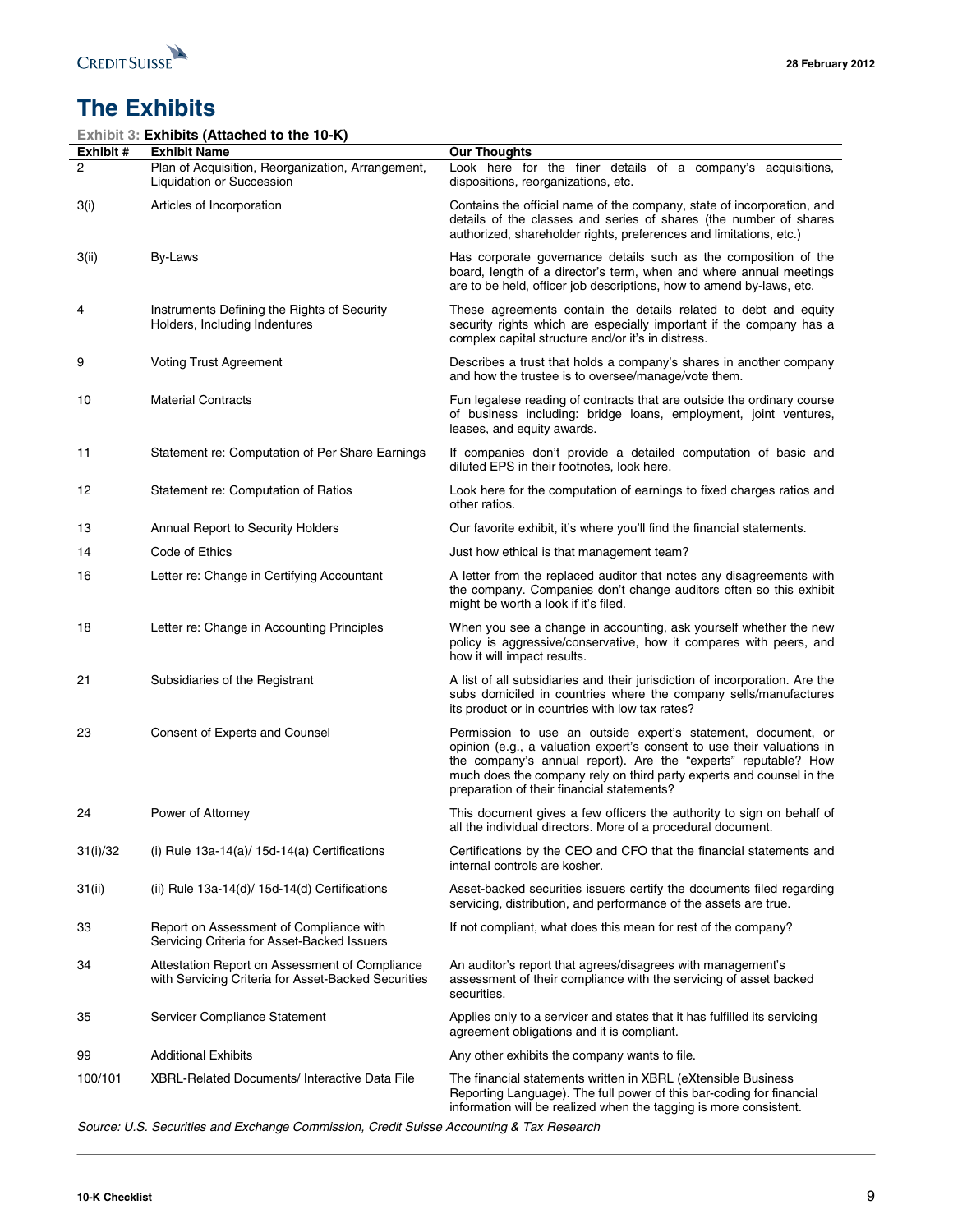

# **The Exhibits**

|                | Exhibit 3: Exhibits (Attached to the 10-K)                                                            |                                                                                                                                                                                                                                                                                                                                 |
|----------------|-------------------------------------------------------------------------------------------------------|---------------------------------------------------------------------------------------------------------------------------------------------------------------------------------------------------------------------------------------------------------------------------------------------------------------------------------|
| Exhibit #<br>2 | <b>Exhibit Name</b><br>Plan of Acquisition, Reorganization, Arrangement,                              | <b>Our Thoughts</b><br>Look here for the finer details of a company's acquisitions,                                                                                                                                                                                                                                             |
|                | Liquidation or Succession                                                                             | dispositions, reorganizations, etc.                                                                                                                                                                                                                                                                                             |
| 3(i)           | Articles of Incorporation                                                                             | Contains the official name of the company, state of incorporation, and<br>details of the classes and series of shares (the number of shares<br>authorized, shareholder rights, preferences and limitations, etc.)                                                                                                               |
| 3(ii)          | By-Laws                                                                                               | Has corporate governance details such as the composition of the<br>board, length of a director's term, when and where annual meetings<br>are to be held, officer job descriptions, how to amend by-laws, etc.                                                                                                                   |
| 4              | Instruments Defining the Rights of Security<br>Holders, Including Indentures                          | These agreements contain the details related to debt and equity<br>security rights which are especially important if the company has a<br>complex capital structure and/or it's in distress.                                                                                                                                    |
| 9              | <b>Voting Trust Agreement</b>                                                                         | Describes a trust that holds a company's shares in another company<br>and how the trustee is to oversee/manage/vote them.                                                                                                                                                                                                       |
| 10             | <b>Material Contracts</b>                                                                             | Fun legalese reading of contracts that are outside the ordinary course<br>of business including: bridge loans, employment, joint ventures,<br>leases, and equity awards.                                                                                                                                                        |
| 11             | Statement re: Computation of Per Share Earnings                                                       | If companies don't provide a detailed computation of basic and<br>diluted EPS in their footnotes, look here.                                                                                                                                                                                                                    |
| 12             | Statement re: Computation of Ratios                                                                   | Look here for the computation of earnings to fixed charges ratios and<br>other ratios.                                                                                                                                                                                                                                          |
| 13             | Annual Report to Security Holders                                                                     | Our favorite exhibit, it's where you'll find the financial statements.                                                                                                                                                                                                                                                          |
| 14             | Code of Ethics                                                                                        | Just how ethical is that management team?                                                                                                                                                                                                                                                                                       |
| 16             | Letter re: Change in Certifying Accountant                                                            | A letter from the replaced auditor that notes any disagreements with<br>the company. Companies don't change auditors often so this exhibit<br>might be worth a look if it's filed.                                                                                                                                              |
| 18             | Letter re: Change in Accounting Principles                                                            | When you see a change in accounting, ask yourself whether the new<br>policy is aggressive/conservative, how it compares with peers, and<br>how it will impact results.                                                                                                                                                          |
| 21             | Subsidiaries of the Registrant                                                                        | A list of all subsidiaries and their jurisdiction of incorporation. Are the<br>subs domiciled in countries where the company sells/manufactures<br>its product or in countries with low tax rates?                                                                                                                              |
| 23             | Consent of Experts and Counsel                                                                        | Permission to use an outside expert's statement, document, or<br>opinion (e.g., a valuation expert's consent to use their valuations in<br>the company's annual report). Are the "experts" reputable? How<br>much does the company rely on third party experts and counsel in the<br>preparation of their financial statements? |
| 24             | Power of Attorney                                                                                     | This document gives a few officers the authority to sign on behalf of<br>all the individual directors. More of a procedural document.                                                                                                                                                                                           |
| 31(i)/32       | (i) Rule $13a-14(a)/15d-14(a)$ Certifications                                                         | Certifications by the CEO and CFO that the financial statements and<br>internal controls are kosher.                                                                                                                                                                                                                            |
| 31(ii)         | (ii) Rule $13a-14(d)$ / $15d-14(d)$ Certifications                                                    | Asset-backed securities issuers certify the documents filed regarding<br>servicing, distribution, and performance of the assets are true.                                                                                                                                                                                       |
| 33             | Report on Assessment of Compliance with<br>Servicing Criteria for Asset-Backed Issuers                | If not compliant, what does this mean for rest of the company?                                                                                                                                                                                                                                                                  |
| 34             | Attestation Report on Assessment of Compliance<br>with Servicing Criteria for Asset-Backed Securities | An auditor's report that agrees/disagrees with management's<br>assessment of their compliance with the servicing of asset backed<br>securities.                                                                                                                                                                                 |
| 35             | Servicer Compliance Statement                                                                         | Applies only to a servicer and states that it has fulfilled its servicing<br>agreement obligations and it is compliant.                                                                                                                                                                                                         |
| 99             | <b>Additional Exhibits</b>                                                                            | Any other exhibits the company wants to file.                                                                                                                                                                                                                                                                                   |
| 100/101        | <b>XBRL-Related Documents/Interactive Data File</b>                                                   | The financial statements written in XBRL (eXtensible Business<br>Reporting Language). The full power of this bar-coding for financial<br>information will be realized when the tagging is more consistent.                                                                                                                      |

Source: U.S. Securities and Exchange Commission, Credit Suisse Accounting & Tax Research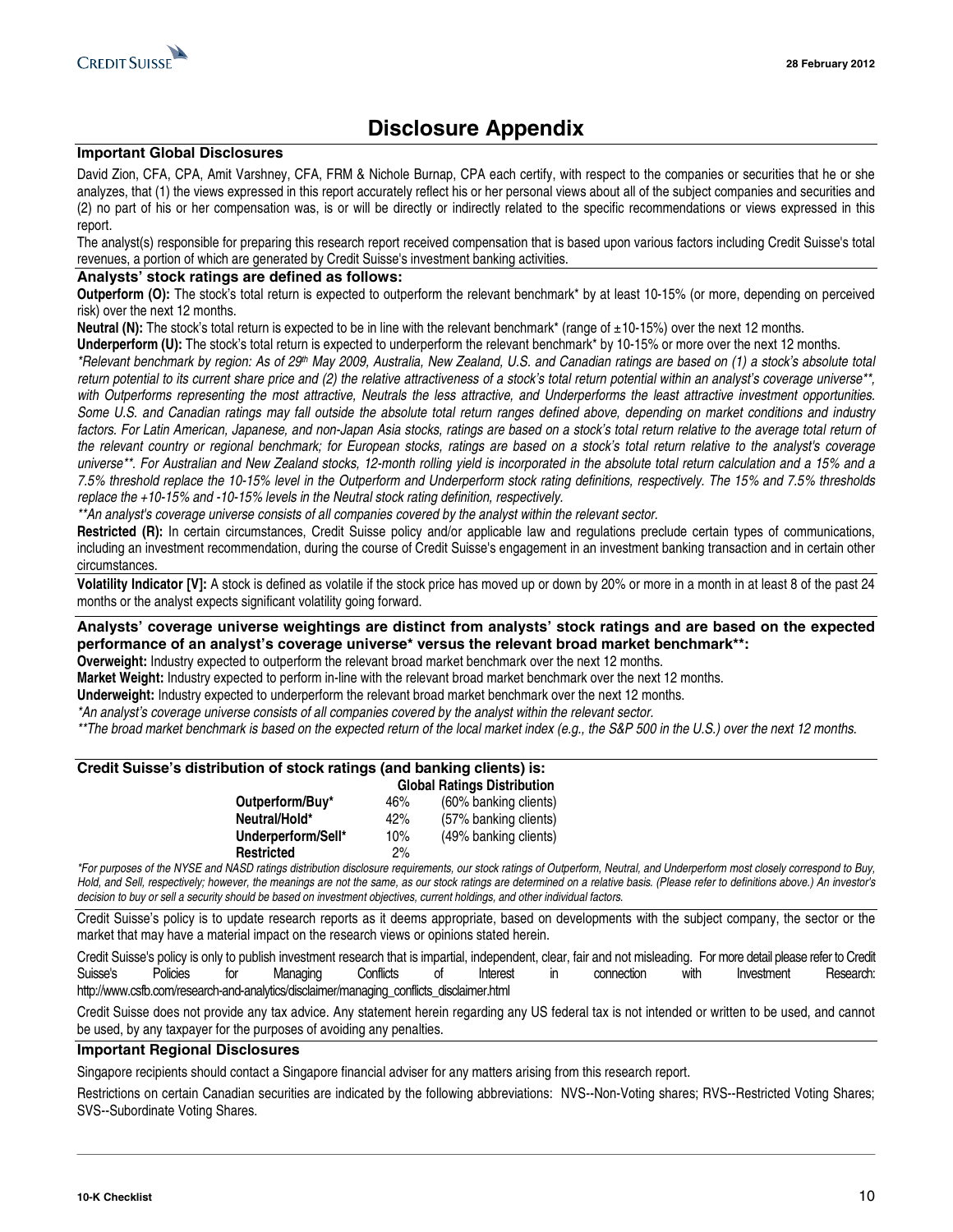

### **Disclosure Appendix**

### **Important Global Disclosures**

David Zion, CFA, CPA, Amit Varshney, CFA, FRM & Nichole Burnap, CPA each certify, with respect to the companies or securities that he or she analyzes, that (1) the views expressed in this report accurately reflect his or her personal views about all of the subject companies and securities and (2) no part of his or her compensation was, is or will be directly or indirectly related to the specific recommendations or views expressed in this report.

The analyst(s) responsible for preparing this research report received compensation that is based upon various factors including Credit Suisse's total revenues, a portion of which are generated by Credit Suisse's investment banking activities.

#### **Analysts' stock ratings are defined as follows:**

**Outperform (O):** The stock's total return is expected to outperform the relevant benchmark<sup>\*</sup> by at least 10-15% (or more, depending on perceived risk) over the next 12 months.

**Neutral (N):** The stock's total return is expected to be in line with the relevant benchmark\* (range of  $\pm$ 10-15%) over the next 12 months.

**Underperform (U):** The stock's total return is expected to underperform the relevant benchmark\* by 10-15% or more over the next 12 months.

\*Relevant benchmark by region: As of 29<sup>th</sup> May 2009, Australia, New Zealand, U.S. and Canadian ratings are based on (1) a stock's absolute total return potential to its current share price and (2) the relative attractiveness of a stock's total return potential within an analyst's coverage universe\*\*, with Outperforms representing the most attractive, Neutrals the less attractive, and Underperforms the least attractive investment opportunities. Some U.S. and Canadian ratings may fall outside the absolute total return ranges defined above, depending on market conditions and industry factors. For Latin American, Japanese, and non-Japan Asia stocks, ratings are based on a stock's total return relative to the average total return of the relevant country or regional benchmark; for European stocks, ratings are based on a stock's total return relative to the analyst's coverage universe\*\*. For Australian and New Zealand stocks, 12-month rolling yield is incorporated in the absolute total return calculation and a 15% and a 7.5% threshold replace the 10-15% level in the Outperform and Underperform stock rating definitions, respectively. The 15% and 7.5% thresholds replace the +10-15% and -10-15% levels in the Neutral stock rating definition, respectively.

\*\*An analyst's coverage universe consists of all companies covered by the analyst within the relevant sector.

**Restricted (R):** In certain circumstances, Credit Suisse policy and/or applicable law and regulations preclude certain types of communications, including an investment recommendation, during the course of Credit Suisse's engagement in an investment banking transaction and in certain other circumstances.

**Volatility Indicator [V]:** A stock is defined as volatile if the stock price has moved up or down by 20% or more in a month in at least 8 of the past 24 months or the analyst expects significant volatility going forward.

### **Analysts' coverage universe weightings are distinct from analysts' stock ratings and are based on the expected performance of an analyst's coverage universe\* versus the relevant broad market benchmark\*\*:**

**Overweight:** Industry expected to outperform the relevant broad market benchmark over the next 12 months.

**Market Weight:** Industry expected to perform in-line with the relevant broad market benchmark over the next 12 months.

**Underweight:** Industry expected to underperform the relevant broad market benchmark over the next 12 months.

\*An analyst's coverage universe consists of all companies covered by the analyst within the relevant sector.

\*\*The broad market benchmark is based on the expected return of the local market index (e.g., the S&P 500 in the U.S.) over the next 12 months.

### **Credit Suisse's distribution of stock ratings (and banking clients) is:**

|                    | <b>Global Ratings Distribution</b> |                       |  |
|--------------------|------------------------------------|-----------------------|--|
| Outperform/Buy*    | 46%                                | (60% banking clients) |  |
| Neutral/Hold*      | 42%                                | (57% banking clients) |  |
| Underperform/Sell* | 10%                                | (49% banking clients) |  |
| <b>Restricted</b>  | 2%                                 |                       |  |

\*For purposes of the NYSE and NASD ratings distribution disclosure requirements, our stock ratings of Outperform, Neutral, and Underperform most closely correspond to Buy, Hold, and Sell, respectively; however, the meanings are not the same, as our stock ratings are determined on a relative basis. (Please refer to definitions above.) An investor's decision to buy or sell a security should be based on investment objectives, current holdings, and other individual factors.

Credit Suisse's policy is to update research reports as it deems appropriate, based on developments with the subject company, the sector or the market that may have a material impact on the research views or opinions stated herein.

Credit Suisse's policy is only to publish investment research that is impartial, independent, clear, fair and not misleading. For more detail please refer to Credit Suisse's Policies for Managing Conflicts of Interest in connection with Investment Research: http://www.csfb.com/research-and-analytics/disclaimer/managing\_conflicts\_disclaimer.html

Credit Suisse does not provide any tax advice. Any statement herein regarding any US federal tax is not intended or written to be used, and cannot be used, by any taxpayer for the purposes of avoiding any penalties.

#### **Important Regional Disclosures**

Singapore recipients should contact a Singapore financial adviser for any matters arising from this research report.

Restrictions on certain Canadian securities are indicated by the following abbreviations: NVS--Non-Voting shares; RVS--Restricted Voting Shares; SVS--Subordinate Voting Shares.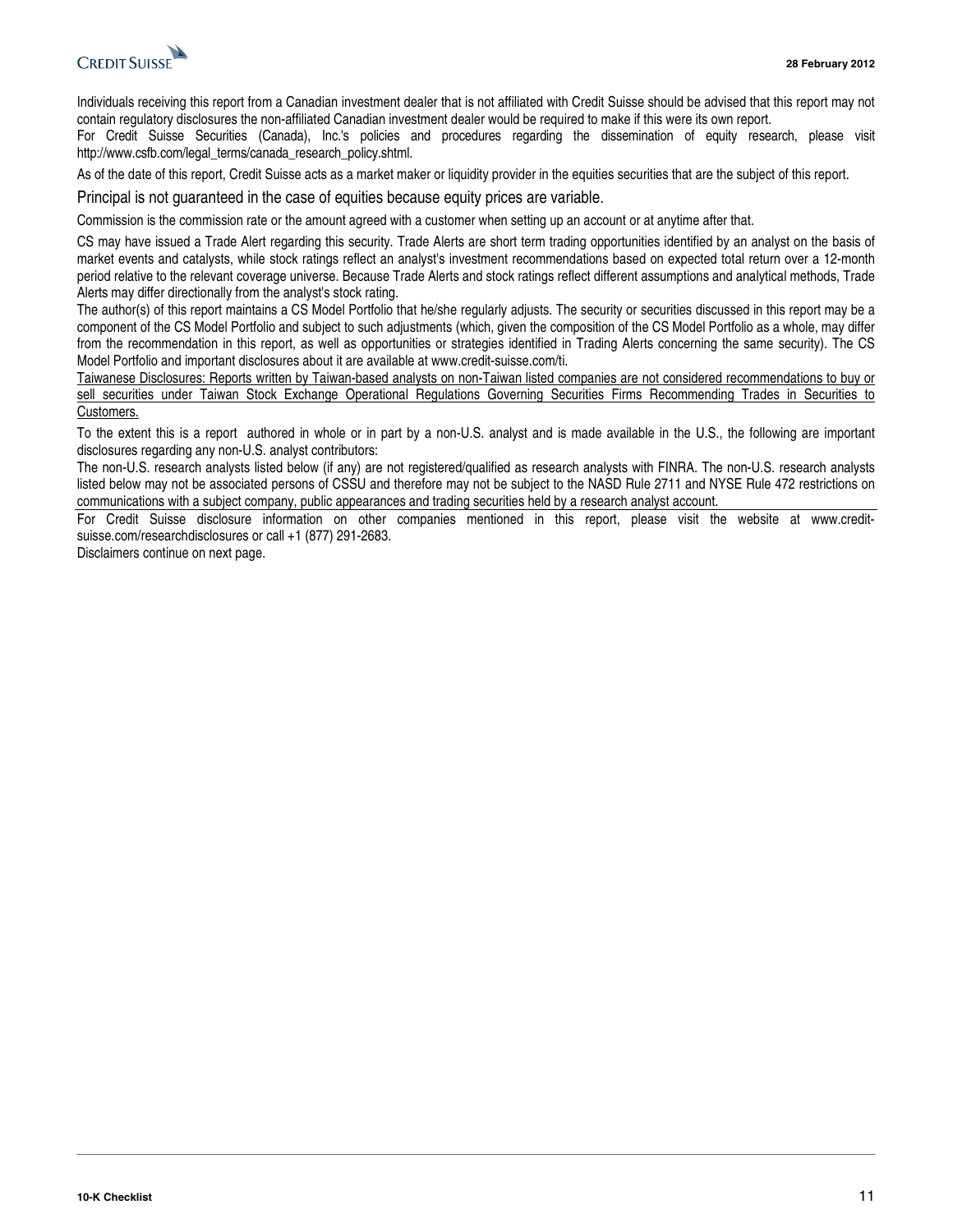

Individuals receiving this report from a Canadian investment dealer that is not affiliated with Credit Suisse should be advised that this report may not contain regulatory disclosures the non-affiliated Canadian investment dealer would be required to make if this were its own report.

For Credit Suisse Securities (Canada), Inc.'s policies and procedures regarding the dissemination of equity research, please visit http://www.csfb.com/legal\_terms/canada\_research\_policy.shtml.

As of the date of this report, Credit Suisse acts as a market maker or liquidity provider in the equities securities that are the subject of this report.

Principal is not guaranteed in the case of equities because equity prices are variable.

Commission is the commission rate or the amount agreed with a customer when setting up an account or at anytime after that.

CS may have issued a Trade Alert regarding this security. Trade Alerts are short term trading opportunities identified by an analyst on the basis of market events and catalysts, while stock ratings reflect an analyst's investment recommendations based on expected total return over a 12-month period relative to the relevant coverage universe. Because Trade Alerts and stock ratings reflect different assumptions and analytical methods, Trade Alerts may differ directionally from the analyst's stock rating.

The author(s) of this report maintains a CS Model Portfolio that he/she regularly adjusts. The security or securities discussed in this report may be a component of the CS Model Portfolio and subject to such adjustments (which, given the composition of the CS Model Portfolio as a whole, may differ from the recommendation in this report, as well as opportunities or strategies identified in Trading Alerts concerning the same security). The CS Model Portfolio and important disclosures about it are available at www.credit-suisse.com/ti.

Taiwanese Disclosures: Reports written by Taiwan-based analysts on non-Taiwan listed companies are not considered recommendations to buy or sell securities under Taiwan Stock Exchange Operational Regulations Governing Securities Firms Recommending Trades in Securities to Customers.

To the extent this is a report authored in whole or in part by a non-U.S. analyst and is made available in the U.S., the following are important disclosures regarding any non-U.S. analyst contributors:

The non-U.S. research analysts listed below (if any) are not registered/qualified as research analysts with FINRA. The non-U.S. research analysts listed below may not be associated persons of CSSU and therefore may not be subject to the NASD Rule 2711 and NYSE Rule 472 restrictions on communications with a subject company, public appearances and trading securities held by a research analyst account.

For Credit Suisse disclosure information on other companies mentioned in this report, please visit the website at www.creditsuisse.com/researchdisclosures or call +1 (877) 291-2683.

Disclaimers continue on next page.